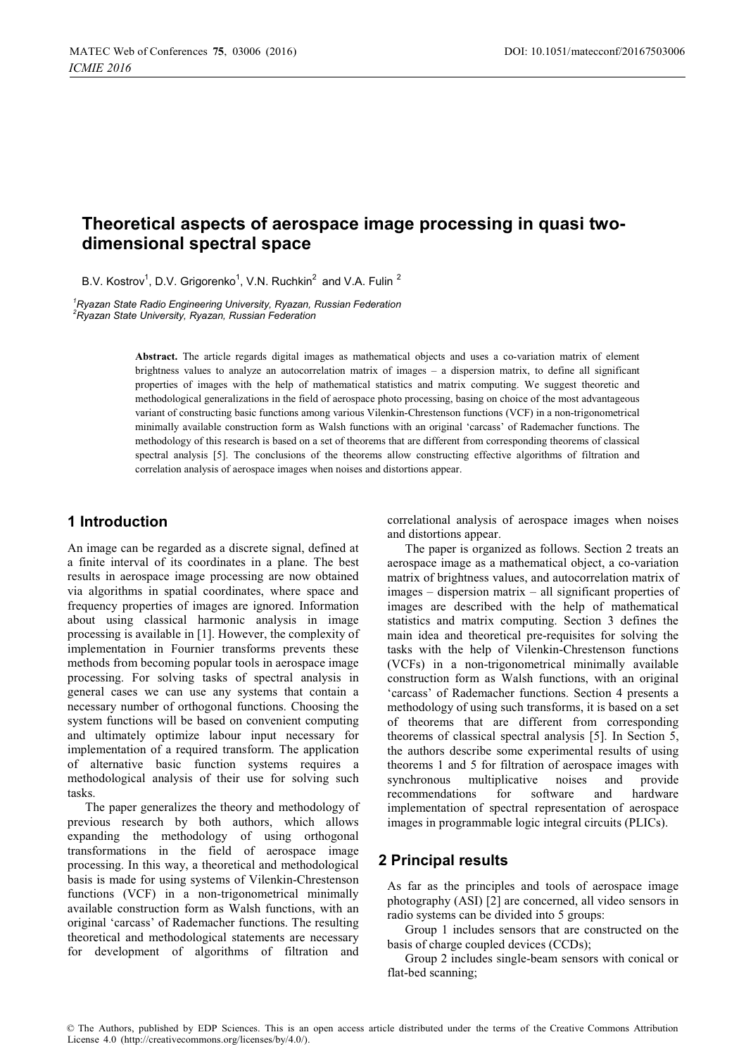# Theoretical aspects of aerospace image processing in quasi twodimensional spectral space

B.V. Kostrov<sup>1</sup>, D.V. Grigorenko<sup>1</sup>, V.N. Ruchkin<sup>2</sup> and V.A. Fulin<sup>2</sup>

 ${}^{1}$ Rvazan State Radio Engineering University. Rvazan. Russian Federation <sup>2</sup>Ryazan State University, Ryazan, Russian Federation

> Abstract. The article regards digital images as mathematical objects and uses a co-variation matrix of element brightness values to analyze an autocorrelation matrix of images  $-$  a dispersion matrix, to define all significant properties of images with the help of mathematical statistics and matrix computing. We suggest theoretic and methodological generalizations in the field of aerospace photo processing, basing on choice of the most advantageous variant of constructing basic functions among various Vilenkin-Chrestenson functions (VCF) in a non-trigonometrical minimally available construction form as Walsh functions with an original 'carcass' of Rademacher functions. The methodology of this research is based on a set of theorems that are different from corresponding theorems of classical spectral analysis [5]. The conclusions of the theorems allow constructing effective algorithms of filtration and correlation analysis of aerospace images when noises and distortions appear.

## 1 Introduction

An image can be regarded as a discrete signal, defined at a finite interval of its coordinates in a plane. The best results in aerospace image processing are now obtained via algorithms in spatial coordinates, where space and frequency properties of images are ignored. Information about using classical harmonic analysis in image processing is available in [1]. However, the complexity of implementation in Fournier transforms prevents these methods from becoming popular tools in aerospace image processing. For solving tasks of spectral analysis in general cases we can use any systems that contain a necessary number of orthogonal functions. Choosing the system functions will be based on convenient computing and ultimately optimize labour input necessary for implementation of a required transform. The application of alternative basic function systems requires a methodological analysis of their use for solving such tasks.

The paper generalizes the theory and methodology of previous research by both authors, which allows expanding the methodology of using orthogonal transformations in the field of aerospace image processing. In this way, a theoretical and methodological basis is made for using systems of Vilenkin-Chrestenson functions (VCF) in a non-trigonometrical minimally available construction form as Walsh functions, with an original 'carcass' of Rademacher functions. The resulting theoretical and methodological statements are necessary for development of algorithms of filtration and

correlational analysis of aerospace images when noises and distortions appear.

The paper is organized as follows. Section 2 treats an aerospace image as a mathematical object, a co-variation matrix of brightness values, and autocorrelation matrix of images - dispersion matrix - all significant properties of images are described with the help of mathematical statistics and matrix computing. Section 3 defines the main idea and theoretical pre-requisites for solving the tasks with the help of Vilenkin-Chrestenson functions (VCFs) in a non-trigonometrical minimally available construction form as Walsh functions, with an original 'carcass' of Rademacher functions. Section 4 presents a methodology of using such transforms, it is based on a set of theorems that are different from corresponding theorems of classical spectral analysis [5]. In Section 5, the authors describe some experimental results of using theorems 1 and 5 for filtration of aerospace images with synchronous multiplicative noises and provide recommendations for and hardware software implementation of spectral representation of aerospace images in programmable logic integral circuits (PLICs).

# **2 Principal results**

As far as the principles and tools of aerospace image photography (ASI) [2] are concerned, all video sensors in radio systems can be divided into 5 groups:

Group 1 includes sensors that are constructed on the basis of charge coupled devices (CCDs);

Group 2 includes single-beam sensors with conical or flat-bed scanning;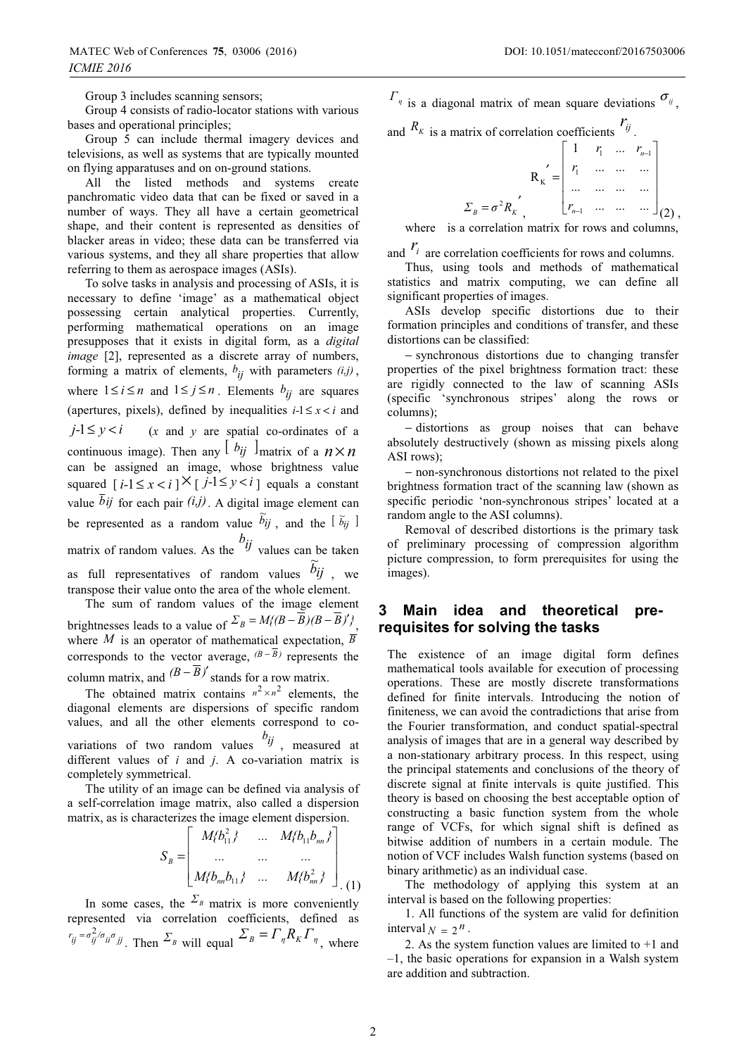Group 3 includes scanning sensors;

Group 4 consists of radio-locator stations with various bases and operational principles;

Group 5 can include thermal imagery devices and televisions, as well as systems that are typically mounted on flying apparatuses and on on-ground stations.

All the listed methods and systems create panchromatic video data that can be fixed or saved in a number of ways. They all have a certain geometrical shape, and their content is represented as densities of blacker areas in video; these data can be transferred via various systems, and they all share properties that allow referring to them as aerospace images (ASIs).

To solve tasks in analysis and processing of ASIs, it is necessary to define 'image' as a mathematical object possessing certain analytical properties. Currently, performing mathematical operations on an image presupposes that it exists in digital form, as a *digital image* [2], represented as a discrete array of numbers, forming a matrix of elements,  $b_{ij}$  with parameters  $(i,j)$ , where  $1 \le i \le n$  and  $1 \le j \le n$ . Elements  $b_{ij}$  are squares (apertures, pixels), defined by inequalities  $i-1 \le x < i$  and  $j-1 \leq y < i$  $(x$  and  $y$  are spatial co-ordinates of a continuous image). Then any  $\lfloor b_{ij} \rfloor$  matrix of a  $n \times n$ can be assigned an image, whose brightness value squared  $[i-1 \le x < i]$   $\times$   $[j-1 \le y < i]$  equals a constant value  $\overline{b}$ *ij* for each pair  $(i,j)$ . A digital image element can be represented as a random value  $\tilde{b}_{ij}$ , and the  $[\tilde{b}_{ij}]$ matrix of random values. As the  $\frac{b_{ij}}{y}$  values can be taken as full representatives of random values  $b_{ij}$ , we transpose their value onto the area of the whole element.

The sum of random values of the image element brightnesses leads to a value of  $\Sigma_B = M \left( \frac{B}{B} - \overline{B} \right) \left( B - \overline{B} \right)^t$ . where *M* is an operator of mathematical expectation,  $\overline{B}$ corresponds to the vector average,  $(B-\overline{B})$  represents the column matrix, and  $(B - \overline{B})'$  stands for a row matrix.

The obtained matrix contains  $n^2 \times n^2$  elements, the diagonal elements are dispersions of specific random values, and all the other elements correspond to covariations of two random values  $b_{ij}$ , measured at different values of  $i$  and  $j$ . A co-variation matrix is completely symmetrical.

The utility of an image can be defined via analysis of a self-correlation image matrix, also called a dispersion matrix, as is characterizes the image element dispersion.

$$
S_B = \begin{bmatrix} M_{1} & \cdots & M_{2} & \cdots & M_{m} \end{bmatrix}
$$
  
... ... ... ...  

$$
M_{2} & \cdots & M_{m} & \cdots & M_{m} \end{bmatrix}
$$
  

$$
M_{1} & \cdots & M_{m} & \cdots & M_{m} \end{bmatrix}
$$

In some cases, the  $\Sigma_B$  matrix is more conveniently represented via correlation coefficients, defined as  $r_{ij} = \sigma_{ij}^2 / \sigma_{ii} \sigma_{jj}$ . Then  $\Sigma_B$  will equal  $\Sigma_B = \Gamma_{ij} R_K \Gamma_{ij}$ , where  $\Gamma_{\eta}$  is a diagonal matrix of mean square deviations  $\sigma_{\eta}$ .

and  $R_K$  is a matrix of correlation coefficients  $r_{ij}$ .

$$
R_{K} = \begin{bmatrix} 1 & r_{1} & \dots & r_{n-1} \\ r_{1} & \dots & \dots & \dots \\ \dots & \dots & \dots & \dots \\ \dots & \dots & \dots & \dots \\ r_{n-1} & \dots & \dots & \dots \end{bmatrix}_{(2)}
$$

where is a correlation matrix for rows and columns,

and  $r_i$  are correlation coefficients for rows and columns.

Thus, using tools and methods of mathematical statistics and matrix computing, we can define all significant properties of images.

ASIs develop specific distortions due to their formation principles and conditions of transfer, and these distortions can be classified:

- synchronous distortions due to changing transfer properties of the pixel brightness formation tract: these are rigidly connected to the law of scanning ASIs (specific 'synchronous stripes' along the rows or columns);

- distortions as group noises that can behave absolutely destructively (shown as missing pixels along ASI rows);

- non-synchronous distortions not related to the pixel brightness formation tract of the scanning law (shown as specific periodic 'non-synchronous stripes' located at a random angle to the ASI columns).

Removal of described distortions is the primary task of preliminary processing of compression algorithm picture compression, to form prerequisites for using the images).

#### Main idea and theoretical 3 prerequisites for solving the tasks

The existence of an image digital form defines mathematical tools available for execution of processing operations. These are mostly discrete transformations defined for finite intervals. Introducing the notion of finiteness, we can avoid the contradictions that arise from the Fourier transformation, and conduct spatial-spectral analysis of images that are in a general way described by a non-stationary arbitrary process. In this respect, using the principal statements and conclusions of the theory of discrete signal at finite intervals is quite justified. This theory is based on choosing the best acceptable option of constructing a basic function system from the whole range of VCFs, for which signal shift is defined as bitwise addition of numbers in a certain module. The notion of VCF includes Walsh function systems (based on binary arithmetic) as an individual case.

The methodology of applying this system at an interval is based on the following properties:

1. All functions of the system are valid for definition interval  $N = 2^n$ .

2. As the system function values are limited to  $+1$  and  $-1$ , the basic operations for expansion in a Walsh system are addition and subtraction.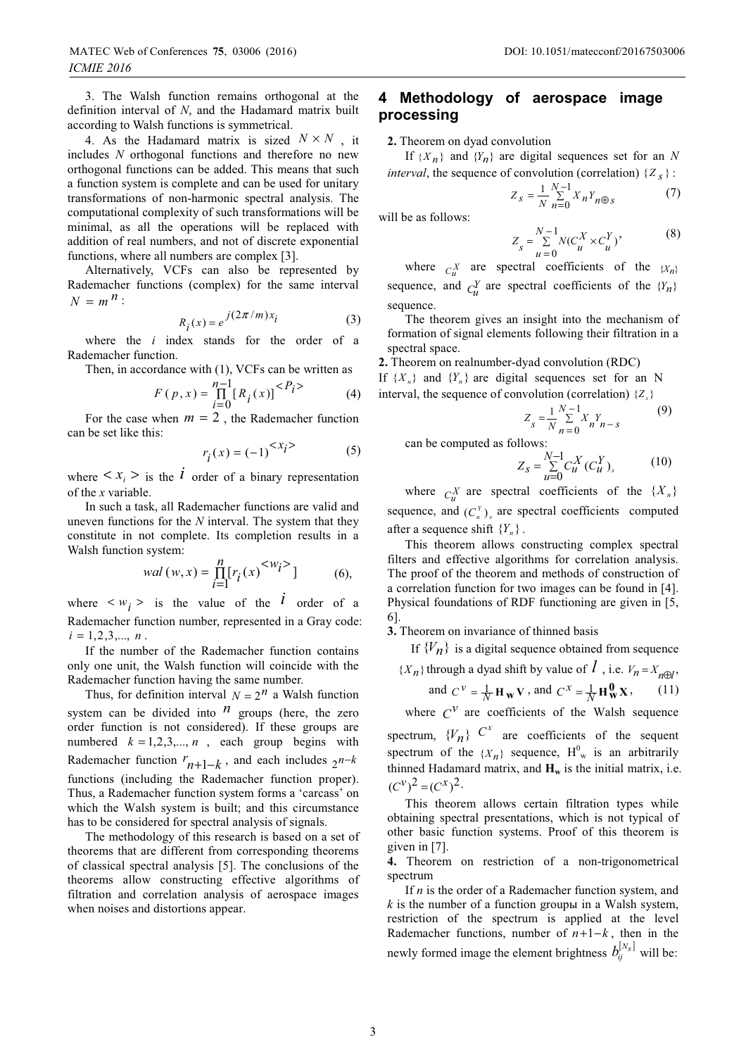4. As the Hadamard matrix is sized  $N \times N$ , it includes  $N$  orthogonal functions and therefore no new orthogonal functions can be added. This means that such a function system is complete and can be used for unitary transformations of non-harmonic spectral analysis. The computational complexity of such transformations will be minimal, as all the operations will be replaced with addition of real numbers, and not of discrete exponential functions, where all numbers are complex [3].

Alternatively, VCFs can also be represented by Rademacher functions (complex) for the same interval  $N = m^n$ :

$$
R_i(x) = e^{j(2\pi/m)x_i}
$$
 (3)

where the  $i$  index stands for the order of a Rademacher function.

Then, in accordance with (1), VCFs can be written as

$$
F(p, x) = \prod_{i=0}^{n-1} [R_i(x)]^{} \tag{4}
$$

For the case when  $m = 2$ , the Rademacher function can be set like this:

$$
r_i(x) = (-1)^{< x_i > 0}
$$
\n(5)

where  $\langle x_i \rangle$  is the *l* order of a binary representation of the  $x$  variable.

In such a task, all Rademacher functions are valid and uneven functions for the  $N$  interval. The system that they constitute in not complete. Its completion results in a Walsh function system:

$$
wal(w, x) = \prod_{i=1}^{n} [r_i(x)^{< w_i>}] \tag{6},
$$

where  $\langle w_i \rangle$  is the value of the  $\vec{l}$  order of a Rademacher function number, represented in a Gray code:  $i = 1, 2, 3, \dots, n$ .

If the number of the Rademacher function contains only one unit, the Walsh function will coincide with the Rademacher function having the same number.

Thus, for definition interval  $N = 2^n$  a Walsh function system can be divided into  $\frac{n}{r}$  groups (here, the zero order function is not considered). If these groups are numbered  $k = 1, 2, 3, ..., n$ , each group begins with Rademacher function  $r_{n+1-k}$ , and each includes  $2^{n-k}$ functions (including the Rademacher function proper). Thus, a Rademacher function system forms a 'carcass' on which the Walsh system is built; and this circumstance has to be considered for spectral analysis of signals.

The methodology of this research is based on a set of theorems that are different from corresponding theorems of classical spectral analysis [5]. The conclusions of the theorems allow constructing effective algorithms of filtration and correlation analysis of aerospace images when noises and distortions appear.

# 4 Methodology of aerospace image processing

2. Theorem on dyad convolution

If  $\{X_n\}$  and  $\{Y_n\}$  are digital sequences set for an N *interval*, the sequence of convolution (correlation)  $\{Z_s\}$ :

$$
Z_{s} = \frac{1}{N} \sum_{n=0}^{N-1} X_{n} Y_{n \oplus s}
$$
 (7)

will be as follows:

$$
Z_{s} = \sum_{u=0}^{N-1} N(C_{u}^{X} \times C_{u}^{Y})^{*}
$$
 (8)

where  $C_n^X$  are spectral coefficients of the  $\{X_n\}$ sequence, and  $C_n^Y$  are spectral coefficients of the  $\{Y_n\}$ sequence.

The theorem gives an insight into the mechanism of formation of signal elements following their filtration in a spectral space.

2. Theorem on realnumber-dyad convolution (RDC) If  $\{X_n\}$  and  $\{Y_n\}$  are digital sequences set for an N interval, the sequence of convolution (correlation)  $\{Z_{\alpha}\}\$ 

$$
Z_s = \frac{1}{N} \sum_{n=0}^{N-1} X_n Y_{n-s}
$$
(9)

can be computed as follows:

$$
Z_{s} = \sum_{u=0}^{N-1} C_{u}^{X} (C_{u}^{Y})_{s}
$$
 (10)

where  $C_n^X$  are spectral coefficients of the  $\{X_n\}$ sequence, and  $(C_u^Y)_s$  are spectral coefficients computed after a sequence shift  ${Y_n}$ .

This theorem allows constructing complex spectral filters and effective algorithms for correlation analysis. The proof of the theorem and methods of construction of a correlation function for two images can be found in [4]. Physical foundations of RDF functioning are given in [5, 6].

3. Theorem on invariance of thinned basis

If  $\{V_n\}$  is a digital sequence obtained from sequence

 $\{X_n\}$  through a dyad shift by value of  $\hat{l}$ , i.e.  $V_n = X_{n \oplus l}$ ,

and 
$$
C^{\nu} = \frac{1}{N} \mathbf{H}_{\mathbf{W}} \mathbf{V}
$$
, and  $C^{\chi} = \frac{1}{N} \mathbf{H}_{\mathbf{W}}^{\mathbf{0}} \mathbf{X}$ , (11)

where  $C^V$  are coefficients of the Walsh sequence

spectrum,  $\{V_n\}$   $C^x$  are coefficients of the sequent spectrum of the  $\{X_n\}$  sequence,  $H^0_w$  is an arbitrarily thinned Hadamard matrix, and  $H_w$  is the initial matrix, i.e.  $(C^{\nu})^2 = (C^x)^2$ .

This theorem allows certain filtration types while obtaining spectral presentations, which is not typical of other basic function systems. Proof of this theorem is given in  $[7]$ .

4. Theorem on restriction of a non-trigonometrical spectrum

If  $n$  is the order of a Rademacher function system, and  $k$  is the number of a function group in a Walsh system, restriction of the spectrum is applied at the level Rademacher functions, number of  $n+1-k$ , then in the newly formed image the element brightness  $b_{ij}^{[N_s]}$  will be: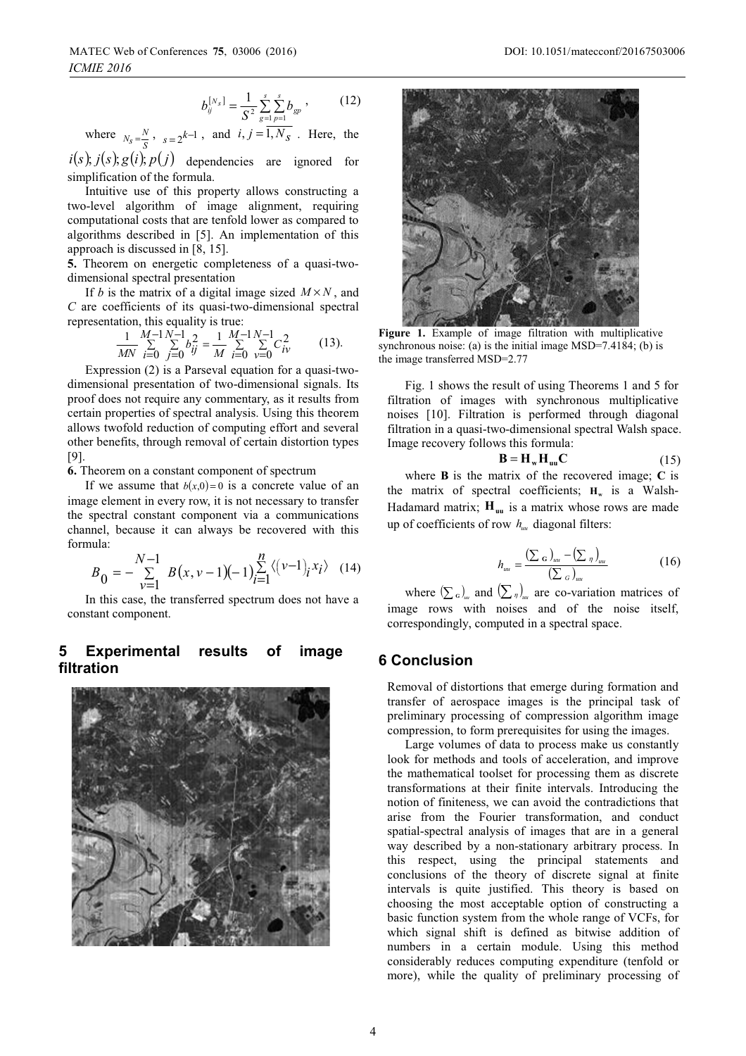$$
b_{ij}^{[N_s]} = \frac{1}{S^2} \sum_{g=1}^{s} \sum_{p=1}^{s} b_{gp}, \qquad (12)
$$

where  $N_s = \frac{N}{s}$ ,  $s = 2^{k-1}$ , and  $i, j = \overline{1, N_s}$ . Here, the

 $i(s)$ ;  $j(s)$ ;  $g(i)$ ;  $p(j)$  dependencies are ignored for simplification of the formula.

Intuitive use of this property allows constructing a two-level algorithm of image alignment, requiring computational costs that are tenfold lower as compared to algorithms described in [5]. An implementation of this approach is discussed in  $[8, 15]$ .

5. Theorem on energetic completeness of a quasi-twodimensional spectral presentation

If b is the matrix of a digital image sized  $M \times N$ , and  $C$  are coefficients of its quasi-two-dimensional spectral representation, this equality is true:

$$
\frac{1}{MN} \sum_{i=0}^{M-1} \sum_{j=0}^{N-1} b_{ij}^2 = \frac{1}{M} \sum_{i=0}^{M-1} \sum_{\nu=0}^{N-1} C_{i\nu}^2
$$
 (13).

Expression (2) is a Parseval equation for a quasi-twodimensional presentation of two-dimensional signals. Its proof does not require any commentary, as it results from certain properties of spectral analysis. Using this theorem allows twofold reduction of computing effort and several other benefits, through removal of certain distortion types  $[9]$ .

6. Theorem on a constant component of spectrum

If we assume that  $b(x,0)=0$  is a concrete value of an image element in every row, it is not necessary to transfer the spectral constant component via a communications channel, because it can always be recovered with this formula:

$$
B_0 = -\sum_{\nu=1}^{N-1} B(x, \nu-1)(-1) \sum_{i=1}^{n} \langle (\nu-1)_i x_i \rangle \quad (14)
$$

In this case, the transferred spectrum does not have a constant component.

#### **Experimental** 5 results image оf filtration





Figure 1. Example of image filtration with multiplicative synchronous noise: (a) is the initial image  $MSD=7.4184$ ; (b) is the image transferred MSD=2.77

Fig. 1 shows the result of using Theorems 1 and 5 for filtration of images with synchronous multiplicative noises [10]. Filtration is performed through diagonal filtration in a quasi-two-dimensional spectral Walsh space. Image recovery follows this formula:

$$
\mathbf{B} = \mathbf{H}_{\mathrm{w}} \mathbf{H}_{\mathrm{uu}} \mathbf{C} \tag{15}
$$

where  $\bf{B}$  is the matrix of the recovered image:  $\bf{C}$  is the matrix of spectral coefficients;  $H_w$  is a Walsh-Hadamard matrix;  $H_{\text{uu}}$  is a matrix whose rows are made up of coefficients of row  $h_{\mu\nu}$  diagonal filters:

$$
h_{uu} = \frac{\left(\sum_{\mathbf{G}}\right)_{uu} - \left(\sum_{\eta}\right)_{uu}}{\left(\sum_{\mathbf{G}}\right)_{uu}}\tag{16}
$$

where  $(\sum_{\alpha})_{m}$  and  $(\sum_{\eta})_{m}$  are co-variation matrices of image rows with noises and of the noise itself, correspondingly, computed in a spectral space.

### **6 Conclusion**

Removal of distortions that emerge during formation and transfer of aerospace images is the principal task of preliminary processing of compression algorithm image compression, to form prerequisites for using the images.

Large volumes of data to process make us constantly look for methods and tools of acceleration, and improve the mathematical toolset for processing them as discrete transformations at their finite intervals. Introducing the notion of finiteness, we can avoid the contradictions that arise from the Fourier transformation, and conduct spatial-spectral analysis of images that are in a general way described by a non-stationary arbitrary process. In this respect, using the principal statements and conclusions of the theory of discrete signal at finite intervals is quite justified. This theory is based on choosing the most acceptable option of constructing a basic function system from the whole range of VCFs, for which signal shift is defined as bitwise addition of numbers in a certain module. Using this method considerably reduces computing expenditure (tenfold or more), while the quality of preliminary processing of